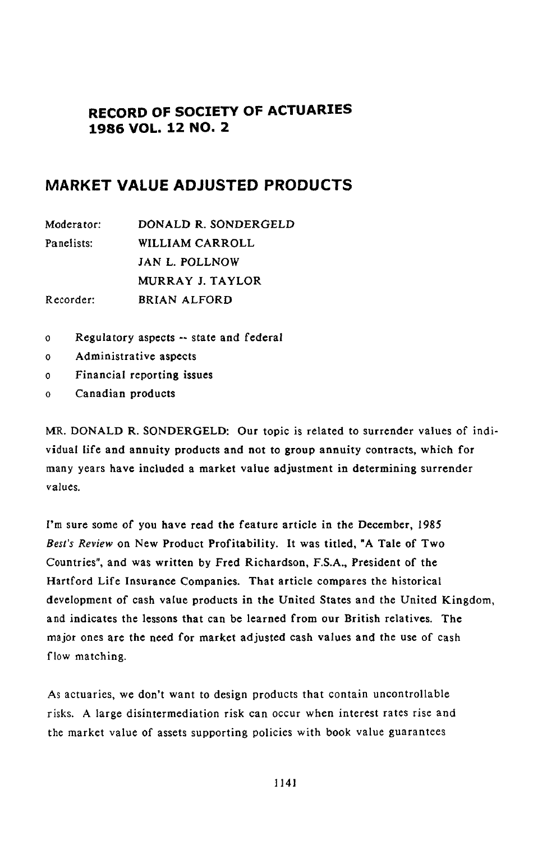# **RECORD OF SOCIETY OF ACTUARIES 1986 VOL. 12 NO. 2**

# **MARKET VALUE ADJUSTED PRODUCTS**

| Moderator: | DONALD R. SONDERGELD |
|------------|----------------------|
| Panelists: | WILLIAM CARROLL      |
|            | JAN L. POLLNOW       |
|            | MURRAY J. TAYLOR     |
| Recorder:  | BRIAN ALFORD         |

- o **R**egulato**r**y asp**e**c**t**s **--** s**t**ate and f**e**d**e**ral
- o Administrat**iv**e asp**ect**s
- o Financial reporting issues
- o Canadian products

MR. DONA**LD R**. S**O**N**D**E**R**G**ELD**: **O**u**r t**o**p**ic is related **to** su**r**rende**r** values of individual life and annuity product**s** and not to grou**p** annuity contracts, which for many years have included a market value adjustment in determining surrender values.

**I**'**m su**re s**o**me of you hav**e** read the feature article in the December, 1985 *Best's Review* on New Product Profitability. It was titled, **"**A Tale of Two Countries", and was written by Fred Richardson, F.S.A., President of the Hartford Life Insurance Companie**s**. That article compares the historical development of cash value products in the *U*nited States and the *U*nited Kingdom, and indicates the lessons that can be learned from o**u**r British relatives. The major ones are the need for market adjusted ca**s**h value**s** and the **u**se of cash flow matching.

**A**s actuaries, we don'**t** want t**o** design products that c**o**ntain unc**o**ntrol**l**able risks. A large disintermediation risk can **o**ccur when interest rates rise and the market value of assets supporting policies with book value guarantees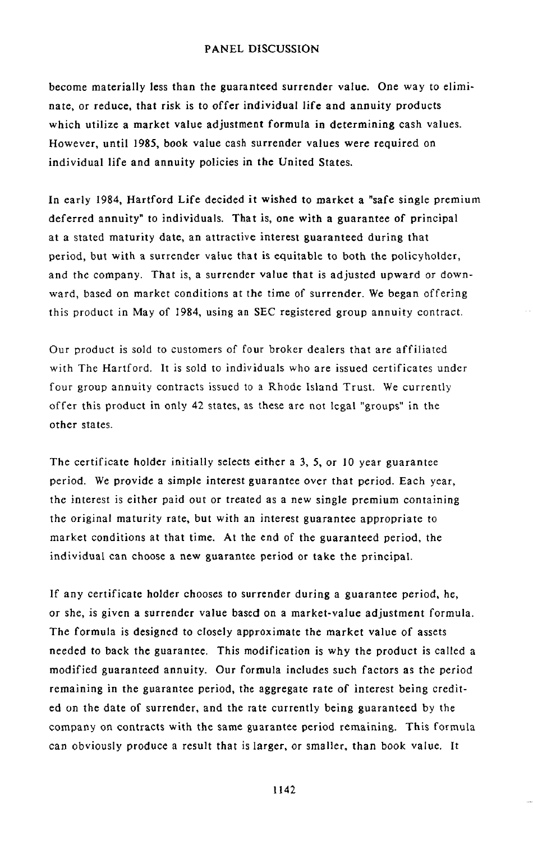become materially less than the guaranteed surrender value. One way to eliminate, or reduce, that risk is to *o*ffer individual life and annuity pr*o*ducts which utilize a market value adjustment formula in determining cash values. However, until 1985, b*o*ok value cash surrender values were required on individual life and annuity policies in the United States.

**I**n early 19**8**4, Har**t**f**o**rd L**i**fe **de**cided i**t wi**she**d** t**o m**a**r**k**et** a **"s**afe single **p**remium deferred annuity" to individuals. That is, one with a guarantee of principal at a sta**t**ed maturity da**t**e, an attrac**t**ive interest guaranteed during that period, bu**t** with a surrender value that is equitable to both the policyholder, and the com**p**any. That is, a surrender value that is adjusted upward or downward, based on market conditions at the time of surrender. We began offering this **p**roduct in May of I984, using an SEC registered grou**p** annuity contra*c*t.

Our produ*c*t is sold to customers of four broker dealers that are affiliated with The Hartford**.** It is sold to individuals who are issued certificates under four group **a**nnuity contracts issued **t**o a Rhode Island Trust. We curren**t**ly offer **t**his **p**roduct in on**l**y 42 states, as these are not **l**ega**l** "grou**p**s" in the other states.

The certificate holder initially selects either a 3, 5, or 10 year guarantee period. We provide a simple interest guarantee over that period. Each year, the interest is either paid out or treated as a new single premium containing the original maturity rate, but with an interest guarantee appropriate to market conditions at that time. At the end of the guaranteed period, the individual can choose a new guarantee **p**eriod or take the principal.

If a**n**y cer**ti**fica**t**e holder chooses to surrender during a guarantee period, he, or she, is given a surrender value based on a market-value adjustment formula. The formula is designed to closely a**p**proximate the market value of assets needed **t**o back the guarantee. This modification is why the product is called a modified guaranteed annuity. Our formula includes such factors as the period remaining in the guarantee period, the aggregate rate of interest being credited on the date of surrender, and the rate currently being guaran**t**eed by the com**p**any on contracts with the same guarantee period remaining. This formula can obviously produce a result that is larger, or smaller, than book value. It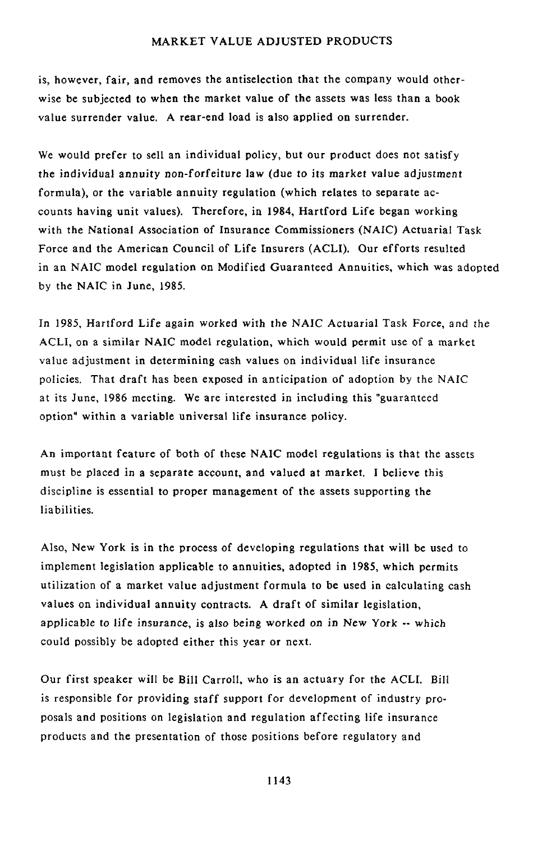is, **h**owe**v**er, fai**r**, and removes the an**t**iselection **t**hat the company would otherwise be subjected to when the market value of the assets was less than a book value surrender value. A rear-end load is also applied on surrender.

We would prefer to sell an individual policy, but our product does not satisfy the individual annuity n*o*n-forfeiture law (due to its market value adjustment formula), or the variable annuity regulation (which relates to separate accounts having unit values). Therefore, in 1984, Hartford Life began working with the National Association of Insurance *C*ommissioners (NAIC) Actuarial Task Force and the American Council of Life Insurers (ACLI). Our efforts resulted in an NAIC model regulation on Modified Guaranteed Annuities, which was adopted by the NAIC in June, 1985.

In 1985, Hartford Life again worked with the *N*AIC Actuarial Task Force, and the ACLI, on a similar NAIC model regulation, which would permit use of a market value adjustment in determining cash values on individual life insurance policies. That draft has been exposed in anticipation of adoption by the *N*AIC at its June, 1986 meeting. We are interested in including this "guaranteed option" within a variable universal life insurance policy.

An important feature of both of these NAI*C* model regulations is that the assets must be placed in a separate account, and valued at market. I believe this discipline is essential to proper management of the assets supporting the liabilities.

Also, *N*ew York is in the process of developing regulations that will be used to implement legislation applicable to annuities, adopted in 1985, which permits utilization of a market value adjustment formula to be used in calculating cash values on individual annuity contracts. A draft of similar legislation, applicable t*o* life insurance, is als*o* being worked on in *N*ew Y*o*rk -- which could possibly be adopted either this year or next.

Our first speaker will be Bill CarroIl, who is an actuary for the ACLI. Bill is responsible for providing staff support for development of industry proposals and positions on legislation and regulation affecting life insurance products and the presentation of those positions before regulatory and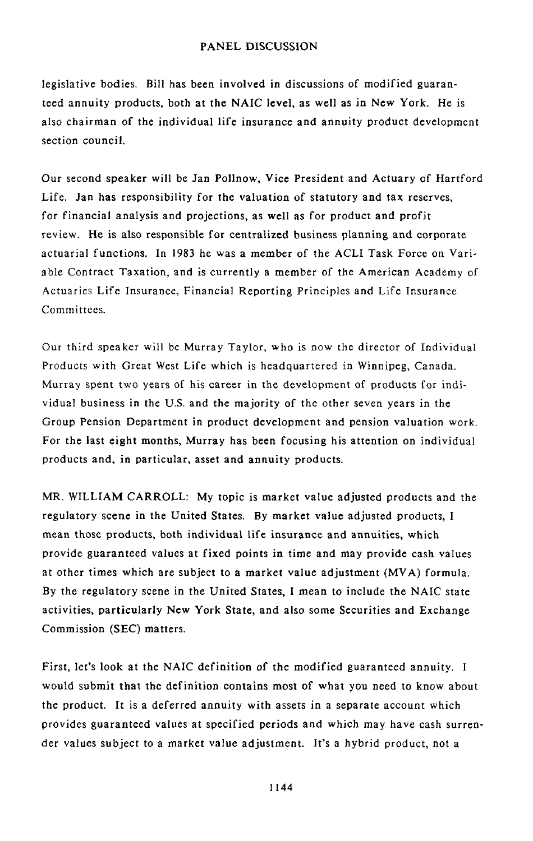legislative bodies. Bill has been involved in discus**s**ions of modified guaranteed annuity products, both at the N*A*I*C* level, as well as in New York. He is also chairman of the individual life insurance and annuity product development section council.

Our second speaker will be Jan Pollnow, Vice President and Actuary of Hartford Life. Jan has responsibility for the valuation of statutory and tax reserves, for financial analysis and projections, as well as for product and profit r**e**vie**w**. He is also responsibl**e** f**o**r **c**en**t**ralized business planning and **c**orpora**t**e actuarial functions. In 1983 he was a member of the A*C*LI Task Force on Variable Contract Taxation, and is currently a member of the American Academy of Ac**t**uari**e**s Life Insur**a**nce, Financial Reporting Principles and Life Insurance Committees.

Our third speaker will be Murray Taylor, who is now the director of Individual Products with Grea**t** West Life which is headquartered in Winnipeg, Canada. Murray spent two years of his career in the development of products for individual business in the U.S. and the majority of the other seven years in the Group Pension Department in product development and pension valuation work. For the last eight months, Murray has been focusing his attention on individual products and, in particular, asset and annuity products.

MR. WILLIAM CARROLL: My topic is market value adjusted products and **t**he regulatory scene in the United States. *B*y market value adjusted products, I mean those products, both individual life insurance and annuities, which provide guaranteed values at fixed points in time and may provide cash values at other times which are subject to a market value adjustment (MVA) formula. By the regulatory scene in the United States, I mean to include the NAIC state activities, particularly *N*ew York State, and also some Securities and Exchange Commission (SEC) matters.

First, let's look at the NAIC definition *o*f the modified guaranteed annuity. I would submit tha**t t**he definition contains most of wha**t** you need **t**o know about the product. It isa deferred annuity with assets in a separate account which provides guaranteed values at specified periods and which may have cash surrender values subject to a market value adjustment. It's a hybrid product, not a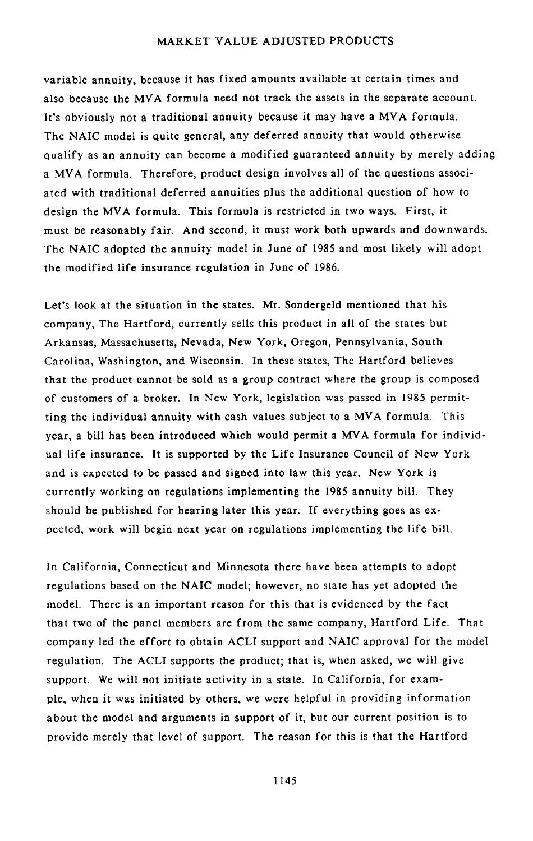variable annu**it**y, because **it ha**s f**i**xed am**o**un**t**s **a**vailable at cer**t**a**i**n ti**m**es and als**o** because the **M**VA f**o**rmula **n**eed n**o**t track the assets in the separate account. It's obviously not a traditional annuity because it may have a MVA formula. The NAIC model is quite general, any deferred annuity that would otherwise qualify as an annuity can become a modified guaranteed annuity by merely adding a M*V*A formula. Therefore, product design involves all of the questions associated with traditional deferred annuities plus the additional question of how to design the MVA formula. This formula is restricted in two ways. First, it must be reasonably fair. And second, it must work both upwards and downwards. The NAIC adopted the annuity model i**n** June of 1985 and most likely will adopt the modified life insurance regulation in June of 1986.

Let**'**s lo**o**k at the si**t**uati**o**n **i**n **t**he sta**t**es**.** Mr**.** Sondergeld men**t**ioned that his company, The Hartford, currently sells this product in all of the states but Arkansas, Massachusetts, *N*evada, *N*ew York, Oregon, Pennsylvania, South Carolina, Washington, and Wisconsin. In these states, The Hartford believes that the product cannot be sold as a group co**n**tract where the group is composed of customers of a broker. In New York, legislation was passed in 1985 permitting the individual annuity with cash values subject to a MVA formula. This year, a bill has been introduced which would permit a MVA formula for individual life insurance. It is supported by the Life Insurance Council of New York and is expected to be passed and signed into law this year. New York is currently working on regulations implementing the 1985 annuity bill. They should be published for hearing later this year. If everything goes as expected, work will begin next year on regulations implemen**t**ing the life bill.

In Califor**ni**a**,** C**o**nnect**i**c**ut** and Minnes**ot**a the**r**e have been attempts to adopt regulations based on the N*A*IC model; however, no state has yet adopted the model. There is an important reason for this that is evidenced by the fact that two of the panel members are from the same company, Hartford Life. That company led the effort to obtain A*C*LI support and *N*AIC approval for the model regulation. The ACLI supports the *p*roduct; that is, when asked, we will give support. We will not initiate ac**t**ivity in a state. In California, for example, when it was initiated by others, we were helpful in providing information about the model and arguments in support of it, but our current position is to provide merely that level of support. The reason for this is **t**hat the Hartford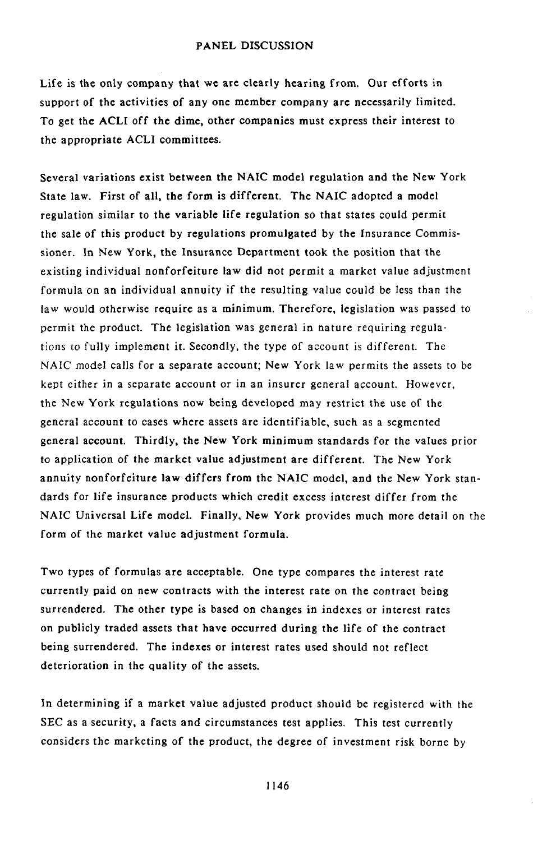Life is **t**he **o**n**l**y c**o**m**p**an**y t**hat w**e** a**r**e clea**rly** hea**r**ing f**ro**m. Ou**r** eff**ort**s in suppor**t** of **t**he ac**t**ivi**t**ies of an**y** one member compan**y** are nec**e**ssa**r**il**y** limi**t**ed**.** To ge**t t**he ACL**I** off **t**he dime, o**t**h**e**r companies mus**t** express **t**h**e**i**r** in**t**e**r**es**t t**o **t**he app**r**opria**t**e ACL**I** commi**tt**ees.

S**e**v**e**ral va**r**iations **e**xis**t** b**e**tw**ee**n **t**h**e** NA**I**C mod**el re**gulation and **t**h**e** N**e**w York Stat**e** law. First of all, th**e** form is diffe**re**nt. Th**e** NAIC adopt**e**d a mod**e**l r**e**gulation similar to th**e** variabl**e** lif**e** r**eg**ulatio**n** so that states could p**e**rmit th**e** sal**e** of this product b**y** r**e**gulations promulgat**e**d b**y** th**e** Insuranc**e** *C*ommissi**o**ne**r**. **In** New **Y**ork, **t**he **In**sura**n**ce Depa**rt**m**e**nt **t**ook the posi**t**ion tha**t t**he exis**t**ing individua**l** nonforfei**t**u**r**e law did no**t** permi**t** a ma**r**ke**t** value adjustment fo**r**mula on an individual annui**ty** if the **r**esu**lt**ing va**l**ue cou**l**d be **l**e**s**s **t**han **t**he law would o**t**he**r**wise require as a minimum**.** Therefor**e**, legislation wa**s** passed **t**o permi**t** the p**r**oduct. The legis**l**a**t**ion was genera**l** in natu**r**e requiring **r***e*gulations to fu**l**l**y** implem*e*n\_ i**t**. Secondl**y**, the **ty**pe of accoun**t** i**s** diffe**r**en**t**. The NA**I***C* model calls for a separate accoun**t**; New Yo**r**k law permi**t**s **t**he assets to be k*e*p**t** eithe**r** in a separa**t**e accoun**t** or in an insu**r**er general account. However, **t**he New **Y**o**r**k **r**egula**ti**ons now being dev**e**lop*e*d ma**y** res**tri**c**t t**he use of **t**he general accoun**t t**o cases where asse**t**s a**re** iden**t**ifiable, such as a segm*e*n**t**ed gene**r**al accoun**t**. **T**hi**r**dl**y**, **t**he New **Y**o**r**k minimum s**t**anda**r**ds fo**r t**he valu*e*s prio**r t**o applica**t**ion of **t**he mark*e***t** va**l**u**e** adju**st**men**t** a**r**e diff*e***r**en**t**. The New **Y**ork annui**ty** nonfo**r**f*e*itu**r***e* law diffe**r**s f**r**om **t**he NAIC mode**l**, and **t**h*e* New **Y**o**r**k **st**anda**r**ds fo**r** life insu**r**ance p**r**oduc**t**s which **cr**edi**t e**xces**s** in**t**e**r**es**t** diffe**r** from th*e* NAI*C* Univ*e*r**s**al Life mod*e*l**. F**inall**y**, N*e*w Yo**r**k provides much mo**r**e de**t**ail on **t**he fo**r**m of **t**h*e* ma**r**ke**t** value adjus**t**m**e**n**t** formula**.**

Two **ty**pes of formulas a**r**e acceptable. One **t**ype compares **t**he interest rate currently paid on new contracts with the interest rate *o*n the contract being surrendered. The other type is based on chan**g**es in indexes or interest rates on publicly traded assets that have *o*ccurred during the life of the contract being surrendered. The indexes or interest rates used should not reflect deterioration in the quality of the assets.

**I**n de**t**ermining if a marke**t** value adjusted p**r**oduc**t** should be **r**egis**t**ered with **t**he SEC as a se*c*u**r**i**ty**, a fac**t**s and *c*i**r**cu**m**s**t**ances **t**es**t** applies. This **t***e*s**t** cu**r**ren**t**l**y** consid*e***r**s **t**he ma**r**k*e***t**ing of **t**h*e* p**r**oduct, **t**h*e* deg**r**ee of inv*e*s**t**men**t r**isk bo**r***n*e b**y**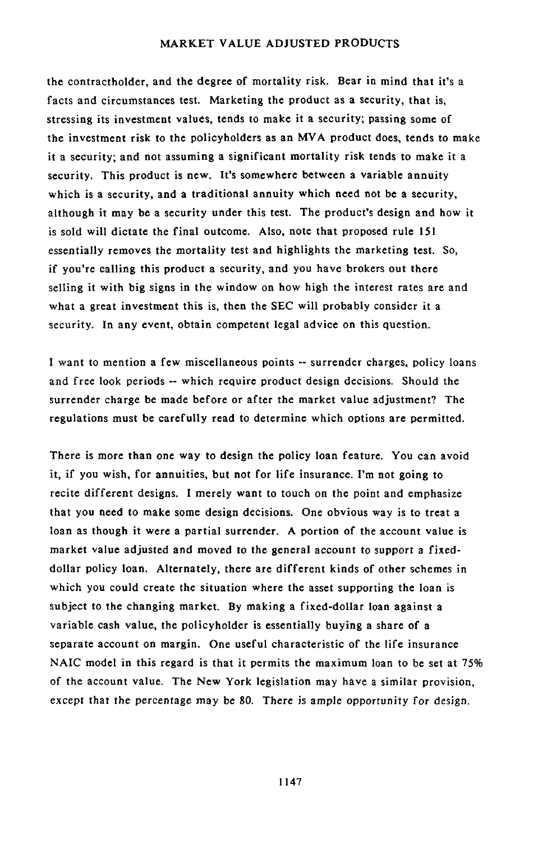the **c**ontrac**t**hol**d**er, a**n**d **t**he **d**egree of morta**l**i**ty r**isk. **B**ea**r i**n mind tha**t** i**t**'s a facts and circumstances test. Marketing **t**he product as a security, that is, stressing its investment valu**e**s, tends **t**o make it a security; passing some of the investment risk to the **p**olicyholders as an MVA product does, tends to make it a security; and not assuming a significant mortality risk tends to make it a security. This product is new. It's somewhere b**e**tween a variable annuity which is a security, and a traditional annuity which need not be a security, although it may be a security under this test. The product's design and how it is sold will dictate the final outcome. Also, note that proposed rule 151 essentially removes the mortality test and highlights the marketing test. So*,* if you're calling this product a security, and you have brokers out there selling it with big signs in the window on how high the interest rates are and what a great investment this is, then the SEC will probably consider it a security. In any event, obtain competent legal advice on this question.

I wan**t t**o men**t**ion a few miscellaneous poin**t**s **--** surrender charges, policy loans and free look periods -- which require product design decisions. Should the surrender charge be made before or after the market value adjustment? The regulations must be carefully read to determine which options are permitted.

T**h**ere is mo**r**e **than** on**e** wa**y t**o d**e**sign **t**he **p**olic**y** loan fea**t**ur**e. Y**ou can avoid it, if you wish, for annuiti**e**s, but not for life insurance. I'm not going to recite different designs. I merely want to touch on the point and em**p**hasize that you n**ee**d **t**o mak**e** some design decisions. One obvious way is **t**o treat a loan as though it wer**e** a partial surrend**e**r. A **p**ortion of the account value is market valu**e** adjusted and moved to **t**he **ge**neral ac**c**oun*t* **t**o suppor**t** a fixeddollar policy loan. Alternately, there are different kinds of oth**e**r schemes in which you could create the situation where the asset su**pp**orting the loan is subject to the changin**g** market. By making a fixed-dollar loan against a variabl**e** cas**h** value, the policyholder is essentially buying a share of a separate account on margin. One useful characteristic of th**e** life insurance *N*AIC mod**e**l in this regard is that it permits the maximum loan to be set at 75**%** of the account value. The **N**ew York legislation may have a similar **p**rovision, except **t**ha*t* the perce**n***t*age ma**y** be **8**0. There is ample opp*o*rt*u*nity f*o*r design.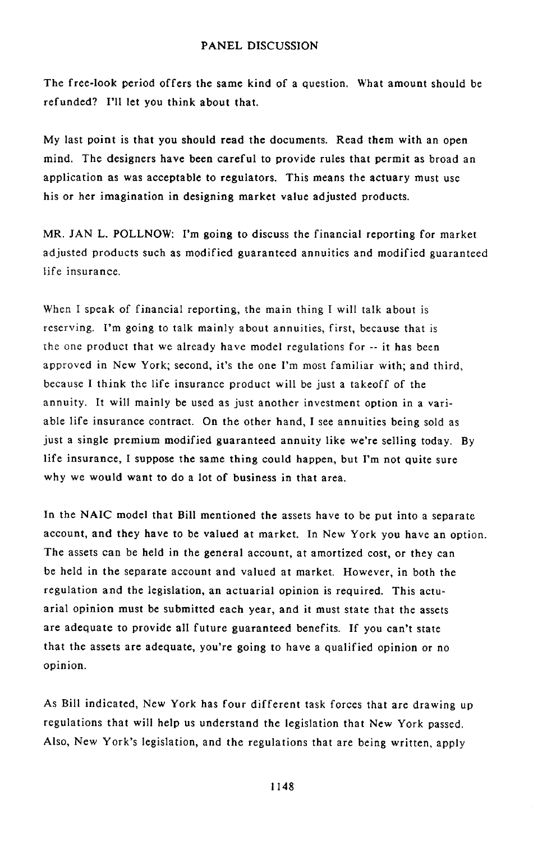The free-l**o**ok per**i**od **o**ffers t**h**e s**a**me kind **o**f a ques**t**i**o**n**.** Wh**a**t amoun**t** sh**o**uld be refunded? I'll let you think about that.

My l**a**st **p**oi**n**t is th**at** yo**u s**ho**u**l**d** re**ad** the **d**ocument**s**. Rea**d** them with an open mind. The designers have been careful to provide rules that permit as broad an application as was acceptable to regulators. This means the actuary must use his or her imagination in designing market value adjusted products.

M**R**. **JAN** L. PO**L**L**N**OW: **I'**m g**o**i**n**g **to** discuss **t**he financial re**p**or**t**ing f**o**r marke**t** adjusted products such as modified guaranteed annuities and modified guaranteed life insurance.

When I speak of financial reporting, the main thing I will talk about is reserving. I'm going to talk mainly about annuities, first, because that is the one product that we already have model regulations for  $-$  it has been approved in New York; second, it's the one I'm most familiar with; and third, because I think the life insurance product will be just a takeoff of the annuity. It will mainly be used as just another investment option in a variable life insurance contract. On the other hand, I see annuities being sold as just a single premium modified guaranteed annuity like we're selling today. By life insurance, I suppose the same thing could happen, but I'm not quite sure why we would want to do a lot of business in that area.

In the NAIC model that *B*ill mentioned the assets have to be put into a separate account, and they have to be valued at market. In *N*ew York you have an option. The assets can be held in the general account, at amortized cost, or they can be held in the separate account and valued at market. However, in both the regulation and the legislation, an actuarial opinion is required. This actuarial opinion must be submitted each year, and it must state that the assets are adequate to provide all future guaranteed benefits. If you can't state that the assets are adequate, you're going to have a qualified opinion or no opinion.

As Bill indicated, New York has four different task forces that are drawing up regulations that will help us understand the legislation that New York passed. Also, New York's legislation, and the regulations that are being written, apply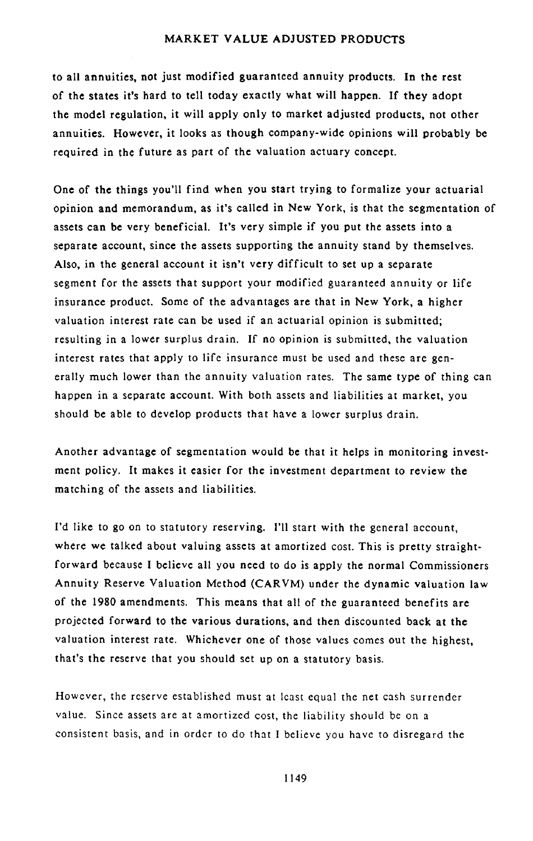to all annuities, not just modified guaranteed annuity products. In the rest **o**f **t**he sta**te**s i**t'**s **h**a**r**d t**o t**el**l to**da**y e**xac**tly w**ha**t wil**l **h**appen. If **th**e**y** ad**o**pt the model regulation, it will apply only to market adjusted products, not other annui**t**ies. **How**e**ver,** i**t** l**ook**s as **tho**u**g**h c**o**mpany**-w**ide **o**pin**io**ns w**i**l**l** p**ro**ba**b**l**y** b**e** requi**re**d in **t**he **f**u**t**u**r**e as part o**f th**e **v**al**u**ation act**u**a**ry** c**o**nc**e**p**t**.

One of the things you'll find when you start trying to formalize your actuarial opinion a**n**d m**e**mo**r**andum**,** as i**t'**s cal**l**ed in N**e**w **Y**o**r**k, i**s** tha**t** th**e** s**e**gm**e**n**t**a**t**ion o**f** ass**ets** can b**e** v**ery** b**e**n**e**ficial**. I**t**'**s v**e**r**y** simple i**f y**ou pu**t t**he ass**et**s in**t**o a separa**t**e accoun**t**, sinc**e t**he asse**t**s suppor**t**ing **t**h**e** annui**ty st**and by **t**h**e**ms**e**lv**e**s**.** Also, in **t**he g**e**n**er**a**l** accoun**t** i**t** isn'**t** v**ery** di**ff**ic**u**l**t t**o **s**e**t** up a sepa**r**a**t**e s**e**gm**e**n**t** for **t**he ass**ets t**hat support **y**ou**r** modi**f**ied guaran**te**e**d** annui**ty** o**r** lif**e** insuranc**e** p**r**oduc**t. S**om**e** of **t**he advan**t**ag**es** a**r**e **t**ha**t** in New **Y**o**r**k, a high**er** valua**t**ion int**e**r**e**s**t** ra**t**e can b**e** us**e**d i**f** an ac**t**ua**r**ial opinion i**s** submi**tte**d; r**e**su**l**ting in a **l**ow**er** su**r**p**l**us d**r**ain. I**f** no opinion is submi**tte**d, **t**h**e** valuation in**te**re**st r**a**te**s **t**ha**t** appl**y t**o lif**e** insuranc**e** mus**t** be us**e**d and **t**h**e**s**e** a**re** g**e**n**e**ra**l**l**y** much low**e**r **t**han **t**he **a**nnui**ty** va**l**uation ra**te**s**.** The **s**ame t**y**p**e** of thing can happ**e**n in a s**e**pa**r**a**t**e accoun**t.** Wi**t**h bo**t**h asse**t**s and liabili**t**i**e**s at ma**r**ke**t**, **y**ou should be abl**e t**o d**e**velop p**r**oducts **t**ha**t** hav**e** a low**er** su**r**plus drain.

Ano**t**he**r** advantage of **s**egmen**t**a**t**ion **w**ould **b**e **t**hat i**t h**elps in moni**t**o**r**ing inves**t**ment policy. It makes it easier for the i**n**vestment depa**r**tmen**t** to **re**view the matching of the assets and lia*b*ilities.

I'd like **t**o go on to s**t**atu**t**ory reserving. **I**'ll start wi**t**h **t**he general account, where we talked about valuing assets at amortized cost. This is pretty straightforward because I believe all you need to do is apply the normal Commissioners Annuity Reserve Valuation Method (*C*ARVM) under the dynamic valuation law of the 1980 amendments. This means that all of the guaranteed benefits are projected forward to the various durations, and then discounted back at the valuation interest rate. Whichever one of those values comes out the highest, that's the reserve that you should set up on a statutory basis.

However, the reserve established must at least equal the net cash surrender value. Since asse**t**s are at amortized cost, the liability should be on a consistent basis, and in order to do that I believe you have to disregard the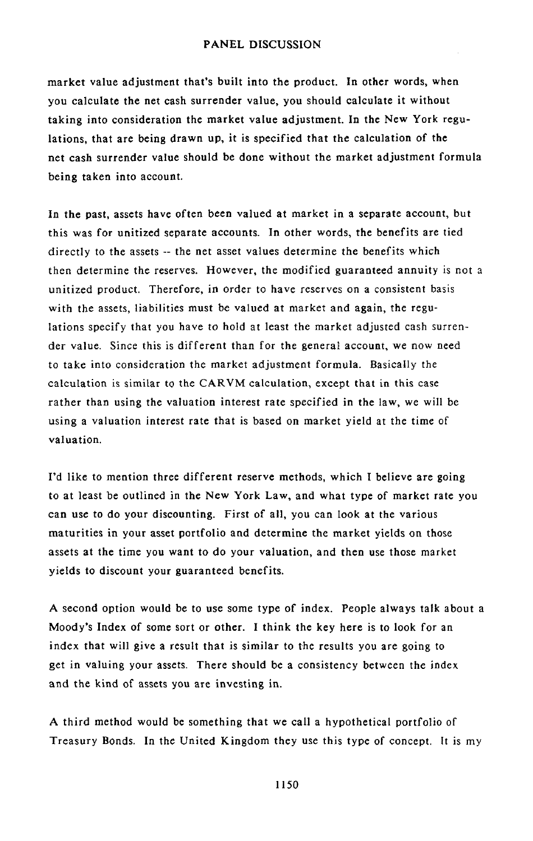marke**t** value adju**st**ment tha**t's** b**ui**l**t in**t**o** t**h**e **p**rod**u**c**t. I**n **ot**her words, when you calculat**e** the net cash surrender value, you should calculate it without taking into considerati*o*n the market value adjustment. In the *N*ew York regulation**s**, that are being drawn u**p**, it i**s** s**p**ecified that the calculation of the net cash surrender value should be done without the market adjustment formula bei**n**g taken into account.

In the **p**a**st**, a**s**sets have of**t**en been val**u**ed at market in a se**p**arate account, but this was for unitized **s**e**p**arate accounts. In other word**s**, the benefits are tied directly to the assets -- the net asset values determine the benefits which then determine the reserves. However, the modified guaranteed annuity is not a unitized **p**roduct. Therefore, in order to have reserves on a co**n**sistent basis with the assets, liabilities must be valued at marke**t** and again, **t**he regulations specify that you have to hold at least the market adjusted cash surrender value. Since this is different than for the general accou**n**t, we now need to take into consideration **t**he market adjustmen**t** form**u**la. Basically the calculation is simi**l**ar to the CARVM calculation, exce**p**t that i**n** this case rather than using the valuation interest rate **sp**ecified in the law, we will be using a valuation interest rate that is based on market yield at the time of valuation.

I'd **l**ike **to** men**t**i**o**n three different reserve methods, which I believe are going to at least be outlined in the New York Law, and what type of market rate you can use to do your discounting. First of all, you can look at the various maturities in your asset *p*ortfolio and determine the market yields o**n** those assets at the time you want to do your valuation, and then use those market yields to discount your guaranteed benefits.

A second option **w**ou**l**d be to use some type of index. People always talk about a Moody's Index of some sort or other. I think the key here is to look for an index that will give a result that is similar to the results you are going to get in valuing your assets. There should be a consistency between the index and the kind of assets you are investing in.

A third me**th**od would be some**t**hing that we call a h**y**po**t**he**t**ica**l** portfolio of Treasury Bonds. In the United Kingdom they use this type of concept. It is my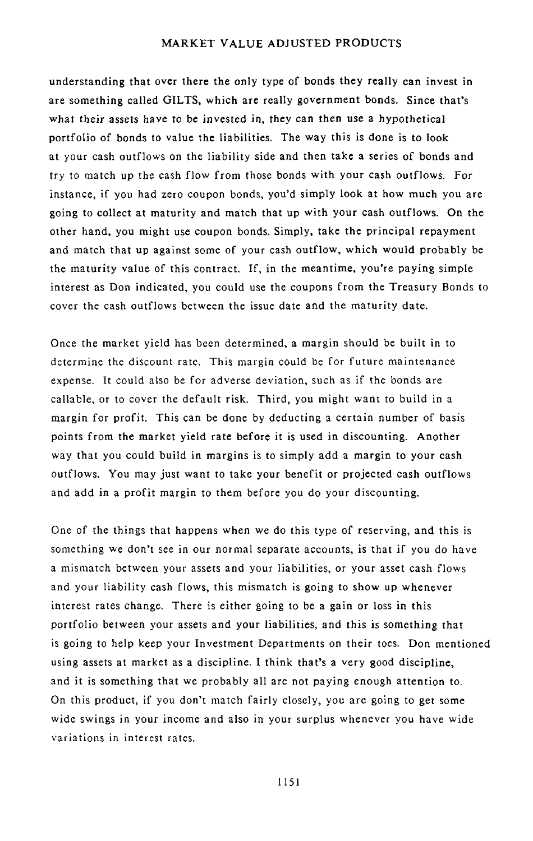understanding **t**ha**t** over **t**here **t**he onl**y t**ype of bonds they really can invest in are something called GILTS, which are really government bonds. Since that's what t**h**eir assets have to be invested in, they can then use a hypothetical **p**ortfolio of bonds to value the liabilities. The way this is done is to look at your cash outflows on the liability side and then take a series of bonds and try to match up the cash flow from those bonds with your cash outflows, For instance, if you had zero coupon bonds, you'd sim**p**ly look at how much you are going to collect at maturity and match that up with your cash outflows. On the other hand, you might use coupon bo**n**ds. Simply, take the **p**rincipal repayment and match that up against **s**ome of your cas**h** outflow, which would probably be the maturity value of this contract. If, in the meantime, you're **p**aying simple interest as Don indicated, you could use the cou**p**ons from the Treasury Bonds to cover the cash outflows betwee**n** the issue date and the maturity date.

Once the market yield has been determined, a margin should be built in to determine the discount rate. This margin could be for future maintenance expense. It could also be for adverse deviation, such as if the bonds are callable, or to cover the default risk. Third, you might want to build in a margin for profit. This can be done by deducting a certain number of basis points from the market yield rate before it is used in discounting. Another way that you could build in margins is to simply add a margin to your cash outflows. You may just want to take your benefit or projected *c*ash outflows and add in a profit margin to them before you do your discounting.

One of the things that happens when we do this type of reserving, and this is something we don't see in our normal separate accounts, is that if you do have a mismatch between your assets and your liabilities, or your asset cash flows and your liability cash flows, this mismatch is going to show up whenever interest rates change. There is either going to be a gain or loss in this portfolio between your asse*t*s and your liabilities, and this is something that is going to help keep your Investment Departments on their toes. Don mentioned using assets at market as a discipline. I think that's a very good discipline, and it is something that we probably all are not paying enough attention to. On this product, if you don't match fairly closely, you are going to get some wide swings in your income and also in your surplus whenever you have wide variations in interest rates.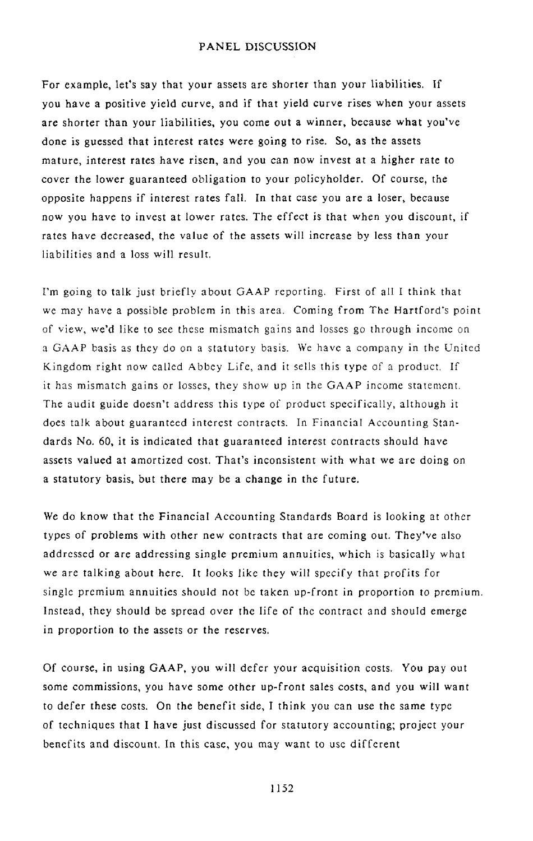For example, let's say that your assets are shorter than your liabilities. If you have a positive yield curve, and if that yield curve rises when your assets are shorter than your liabilities, you come *o*ut a winner, because what you've done is guessed that interest rates were going to rise. So, as the assets mature, interest rates have risen, and you can now invest at a higher rate to cover the lower guaranteed obligation to your policyholder. Of course, the opposite happens if interest rates fall. In that case you are a loser, because now you have to invest at lower rates. The effect is that when you discount, if rates have decreased, the value of the assets will increase by less than your liabilities and a loss will result.

I'm going to talk just briefly about GAAP reporting. First of all I think that we may have a possible problem in this area*. C*oming from The Hartford's p*o*int of view, we'd like to see these mismatch gains and losses go through income on a GAAP basis as they do on a statutory basis. We have a company in the United Kingdom right now called Abbey Life, and it sells this type of a product. If it has mismatch gains or losses*,* they show up in the GAAP income statement. The audit guide doesn't address this type of product specifically, although it does talk ab*o*ut guaranteed interest contracts. In Financial Accounting Standards No. 60, it is indicated that guaranteed interest contracts should have assets valued at amortized cost. That's inconsistent with what we are doing on a statutory basis*,* but there may be a change in the future.

We do know that the Financial Accounting Standards Board is looking at other types of problems with other new contracts that are coming out. They*'*ve also addressed or are addressing single premium annuities, which is basically what we are talking about here. It looks like they will specify that profits for single premium annuities should not be taken up-front in proportion t*o* premium. Instead, they sh*o*uld be spread over the life of the contract and should emerge in proportion to the assets or the reserves.

Of course, in using GAAP, you will defer your acquisition costs. You pay out some commissions, you have some other up-front sales costs, and you will want to defer these c*o*sts. On the benefit side, I think you can use the same type of techniques that I have just discussed for statutory accounting; project your benefits and discount. In this case, you may want to use different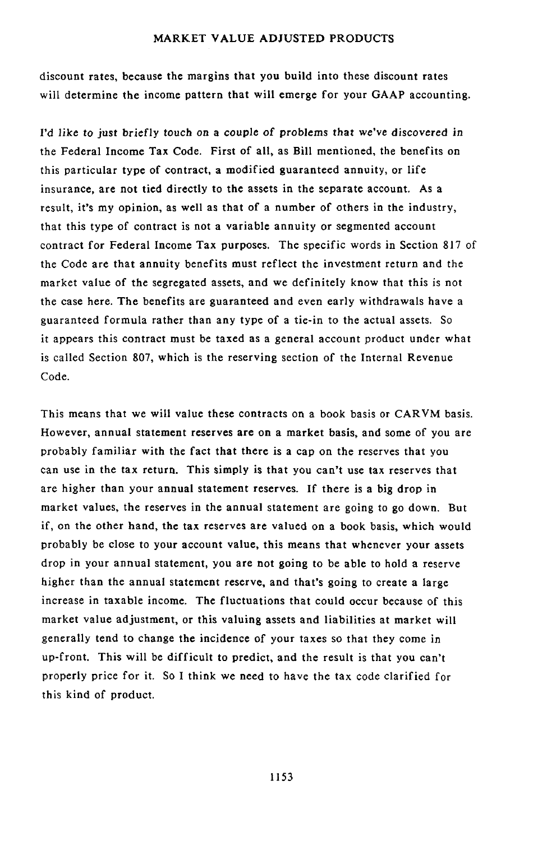discoun**t** ra**t**e**s**, because **t**he margin**s t**ha**t y**ou build in**t**o **t**hese discoun**t r**a**t**es will determine the income pattern that will emerge **f**or your GAAP accounting.

I'd lik*e* **t***o* ju**st b**riefly **t**ouch *o*n **a** *c*ou**p**le *o*f pr*o*blems **t**hat we've disc*o*vered in the Federal Income Tax Code. First of all, as Bill mentioned, the benefits on this particular type of contract, a modified guaranteed annuity, or life insurance, are not tied directly to the assets in the separate account. As a result, it's my opinion, as well as that of a number of others in the industry, that this type of contract is not a variable annuity or segmented account contract for Federal Income Tax purposes. The specific words in Section 817 of the Code are that annuity benefits must reflect the investment return and the market value of the segregated assets, and we definitely know that this is not the case here. The benefits are guaranteed and even early withdrawals have a guaran**t**eed formula rather than any type of a tie-in to the actual assets. So it appears this contract must be taxed as a general account product under what is called Section 807, which is the reserving section of **t**he Internal Revenue Code.

This means that we will value these contracts on a book basis or CARVM basis. However, annual sta**t**ement reserves are on a market basis, and some of you are probably familiar with the fact that there is a cap on the reserves that you can use in the tax return. This simply is that you can't use tax reserves that are higher than your annual statement reserves. If there is a big drop in market values, the reserves in the annual statement are going to go down. But if, on the other hand, the tax reserves are valued on a book basis, which would probably be close to your account value, this means that whenever your assets drop in your annual statement, you are not going to be able to hold a reserve higher than the annual statement reserve, and that's going to create a large increase in taxable income. The fluctuations that could occur because of this market value adjustment, or this valuing assets and liabilities at market will generally tend to change the incidence of your taxes so that they come in up-front. This will be difficult to predict, and the result is that you can't properly price for it. So I think we need to have the tax code clarified for this kind of product.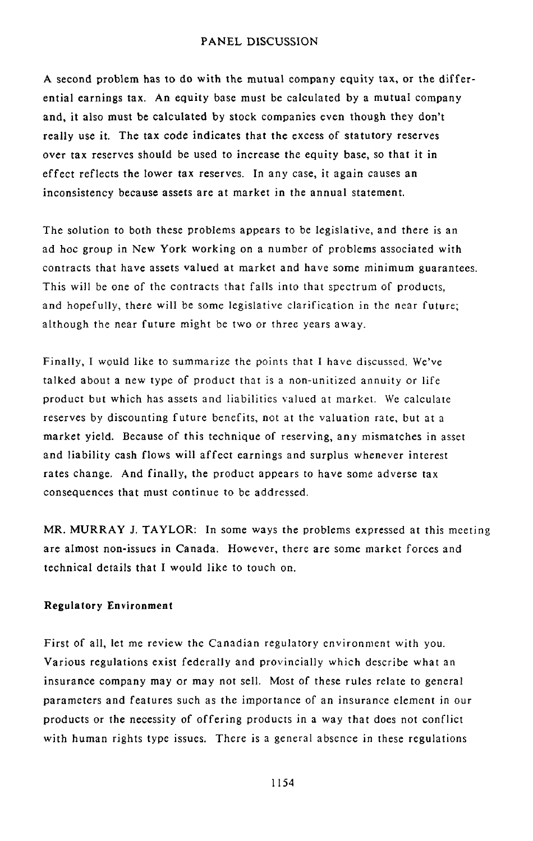A second problem h**a**s **to** d**o** w**it**h **t**he mutual company **e**qu**it**y tax, or **t**he differential earnings tax. An equity bas**e** must be calculated by a mutual company and, it also must be calc**u**lated by stock companies ev**e**n though the**y** don't r**e**ally use i**t**. **T**he tax code ind**i**c**a**tes that **t**he **e**x**c**ess of st**at**utory reserves over tax reserves should be used to incr**e**as**e** the equity base, so that it in **e**ffect reflects th**e** low**e**r tax reserves. In any case, it again caus**e**s **a**n inconsist**e**n*c*y because assets ar**e** at market in the annual statement.

The solution to both these problems appears to be legislative, and there is an ad hoc group in New York working on a number of problems associated with contracts that have assets valued at market and have some minimum guarantees. This will be one of the contracts that falls into that spectrum of products, and hopefully, there will be some legislative clarification in the near future; although the near future might be two or three years away.

Finally, I would like to summarize the points that I have discussed. We've talked about a new type of product that is a non-unitized annuity or life product but which has assets and liabilities valued at market. We calculate reserves by discounting future benefits, not at the valuation rate, but at a market yield. Because of this technique of reserving, any mismatches in asset and liability cash flows will affect earnings and surplus whenever interest rates change. And finally*,* the product appears to have some adverse tax consequences that must continue to be addressed.

MR. MURRAY J. TAYLOR: In some ways the problems expressed at this meeting are almost non-issues in Canada. However, there are some market forces and technical details that I would like to touch on.

#### R**egulatory Envir**o**nm**e**nt**

First of all, let me review the Canadian regulatory environment with you. Various regulations exist federally and provincially which describe what an insurance company may or may not sell. Most of these rules relate to general parameters and features such as the importance of an insurance element in our products or the necessity of offering products in a way that does not conflict with human rights type issues. There is a general absence in these regulations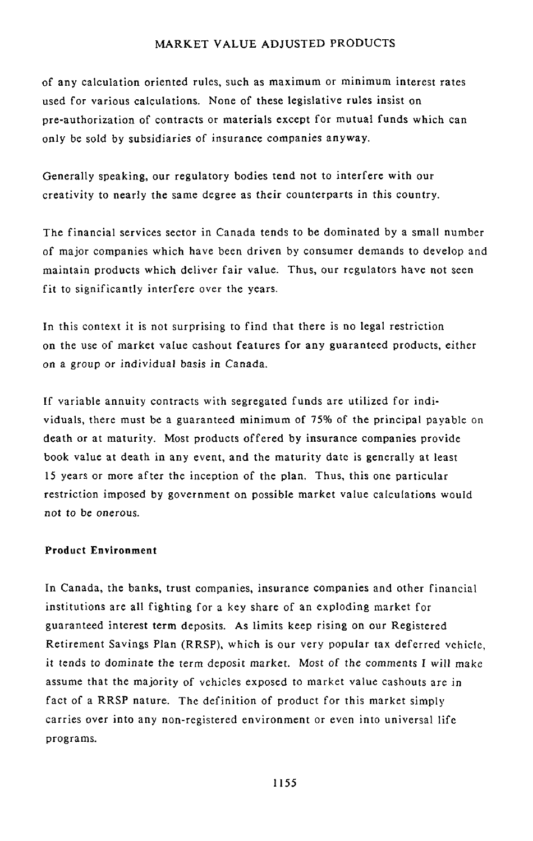of any calculation oriented rules, such as maximum or minimum interest rates used for various calculations. *N*one of these legislative rules insist on pre-authorization of contracts or materials except for mutual funds which can only be **s**old by subsidiaries of insurance companies anyway.

Generally speaking, our regulatory bodies tend not to interfere with our creativity to nearly the same degree as their counterparts in this country.

The financial services sector in Canada tends to be dominated by a **s**mall number of major companies which have been driven by consumer demand**s** to develop and maintain products which deliver fair value. Thus, our regulators have not seen fit to significantly interfere over the years.

In this context it is not surprising to find that there is no legal restriction on the use of market value cashout features for any guaranteed products, either on a group or individual basis in Canada.

If variable annuity contracts with segregated funds are utilized for individuals, there must be a guaranteed minimum of 75% of the principal payable on death or at maturity. Most products offered by insurance companies provide book value at death in any event, and the maturity date is generally at least 15 years or more after the inception of the plan. Thus, this one particular restriction imposed by government on possible market value calculations would n*o*t t*o* be *on*erous.

# **Product** E**nvironment**

In Canada, the banks, trust companies, insurance companies and other financial institutions are all fighting for a key share of an exploding market for guaranteed interest term deposits. As limits keep rising on our Registered *R*etirement Savings Plan (RRSP), which is our very popular tax deferred vehicle, it *t*ends t*o* dominate the term deposit market. Most *o*f the comments *I w*ill make assume that the majority of vehicles exposed to market value cashouts are in fact of a RRSP nature. The definition of product for this market simply carries over into any non-registered environment or even into universal life programs.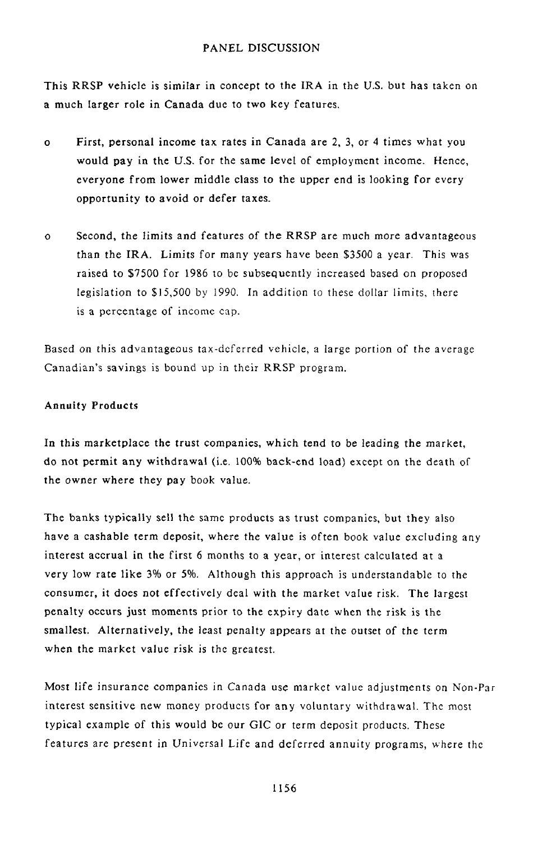This RRSP vehicle is similar in concep**t t**o **t**he **I**RA in **t**he U.S, bu**t** has taken on a much larger role in Canada due to two key features.

- o First, personal inc*o*me tax rates in Canada are 2, 3, or 4 times what you would pay in the U.S. for the same level of employment income. Hence, everyone from lower middle class to the upper end is lo*o*king for every opportunity to avoid or defer **t**axes.
- o Second, the limits and features of the RRSP are much m*o*re advantageous than the IR*A*. Limits for many years have been \$3500 a year. This was raised **t**o \$7500 for 1986 **t***o* be subsequently increased based on pr*o*posed le**g**islation to \$15,500 by 1990. In addition to these dollar limits, there is a percentage of income cap.

Based *o*n this advantageous tax-deferred vehicle, a large por**t**i*o*n of the average *C*anadian's savings is bound up in their RRSP program.

### A**nnuity Products**

In this marketplace the trust companies, which tend to be leading the market, do not permit any withdrawal (i.e. 100**%** back-end load) except on the dea**t**h of the owner where they pay book value.

The banks typically sell the same products as trust companies, but they also have a cashable term deposit, where *t*he value is *o*ften book value excluding any interest accrual in the first 6 months to a year, or interest calculated at a very low rate like 3% or 5**%**. Although this approach is understandable to the consumer*,* it does not effectively deal with the market value risk. The larg**e**st **p**enalty **o**ccurs just moments prior to the expiry date when the risk is the smallest. *A*lternatively, the least penalty appears at the outset of the term when the market value risk is the greatest.

Most life insurance companies in Canada use market value adjustments on Non-Par interest sensitive new money products for any voluntary withdrawal. The most typical example of this would be our GIC or term deposit products. These features are present in *U*niversal Life and deferred annuity programs, where the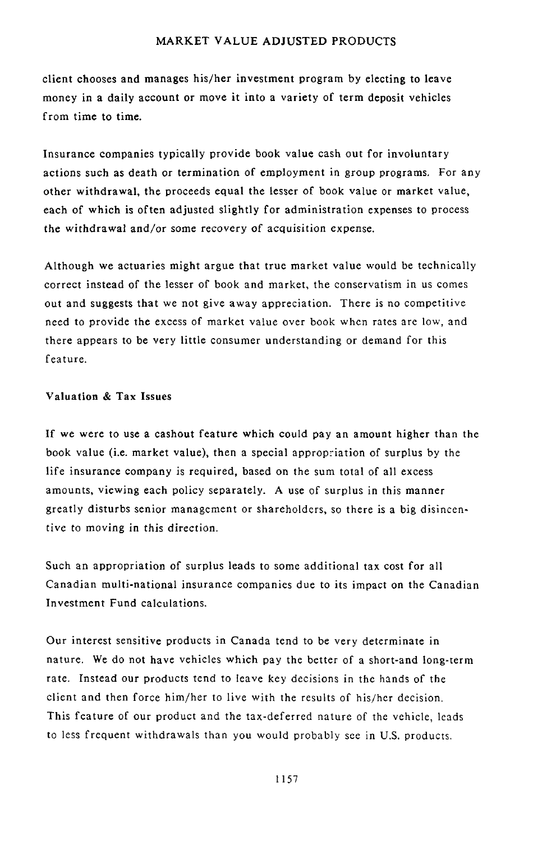**c**l**i**ent **ch**ooses and ma**n**a**g**es h**i**s*/*he**r i**nvestmen**t** prog**ra**m by el**ect**in**g t**o leave mon**ey** in a dail**y** a**c**count or move **i**t i**n**to a variet**y** of t**e**rm deposit vehicl**e**s from t**i**me to time.

Insurance companies typic**a**lly provide bo**o**k value cash **o**ut for inv**o**lunta**r**y actions such as death or termination of employment in group programs. For any other withdrawal, the proceeds equal the lesser of book value or market value, each of which is often adjusted slightly for administration expenses to process the withdrawal and*/*or some recovery of acquisition expe*n*se.

Although we actuaries might argue that true market value would be technically correct instead of the lesser of book and market, the conservatism in us comes out and suggests that we not give away appreciation. There is no competitive need to provide the excess of market value over book when rates are low, and there appears to be very little consumer understanding or demand for this feature.

## **Valuati**o**n & Ta**x **Issues**

**I**f we were to use **a** easho**u**t fea**t**u**r**e which c**o**uld pay an amount higher than the book value (i.e. market value), then a special appropriation of surplus by the life insurance company is required, based on the sum total of all excess amounts, viewing each policy separately. A use of surplus in this manner greatly disturbs senior management or shareholders, so there is a big disincentive to moving in this direction.

Such an appr**o**priati**o**n of surplus leads to some additional tax cost for all Cana**d**ian multi-nati**o**nal ins**u**rance c**o**mpanies due t**o i**ts impact **o**n the Cana**d**ian In**v**estment Fun**d** calcu**l**ati**o**ns.

Our interest sensitive prod**u**cts in *C*anada tend to be very determinate in nature. We do not have vehicles which pay the better of a short-and long-term rate. Instead our products tend to leave key decisions in the hands of the client and then force him*/*her to live with the results of his*/*her decision. This feature of our product and the tax-deferred nature of the vehicle, leads to less frequent withdrawals than you would probably see in U.S. products.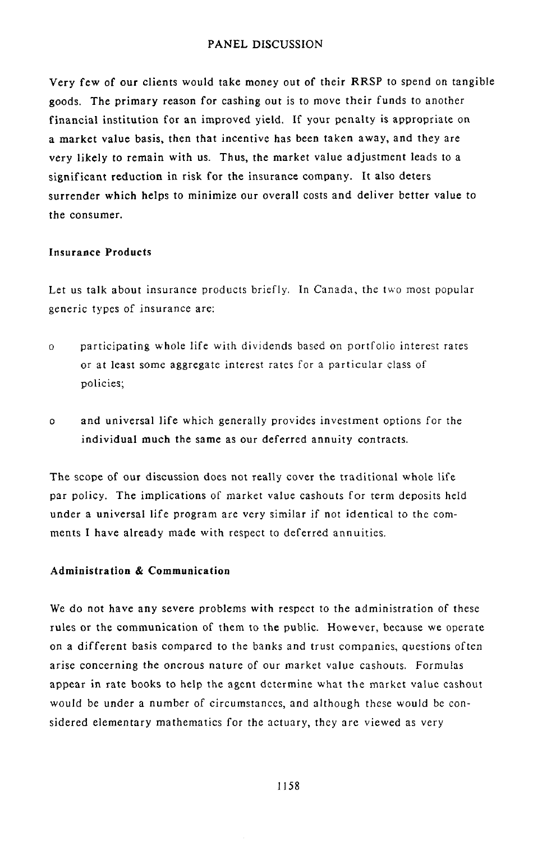Very few of our clients would take money out of their RRSP to spend on tangible goods. The primary reason for cashing out is to move their funds to another financial institution for an improved yield. If your penalty is appropriate on a market value basis, then that incentive has been taken away, and they are very likely to remain with us. Thus, the market value adjustment leads to a significant reduction in risk for the insurance company. It also deters surrender which helps to minimize our overall costs and deliver better value to the consumer.

# **Insurance Products**

Let us talk about insurance products briefly. In *C*anad**a**, the two most popular generic types of insurance are:

- o partici**p**ating wh*o*le life with dividends based on portfolio interest rates or at least some aggregate interest rates for a particular class of policies;
- o and universal life which generally provides investment options for the individual much the same as our deferred annuity contracts.

The scope of o**u**r discussion **d**oes not really cover the traditional whole life par policy. The implications of market value cashouts for term deposits held under a universal life program are very similar if not identical to the comments I have already made with respect to deferred annuities.

### A**d**m**in**i**stration** & **Co**m**municat**i**on**

We do not have any severe problems with respect to the administration of these rules or the communication of them to the public. However, because we operate on a different basis compared to the banks and trust companies, questions often arise concerning the onerous nature of our market value cashouts. Formulas appear in rate books to help the agent determine what the market value cashout would be under a number of circumstances, and although these would be considered elementary mathematics for the actuary, they are viewed as very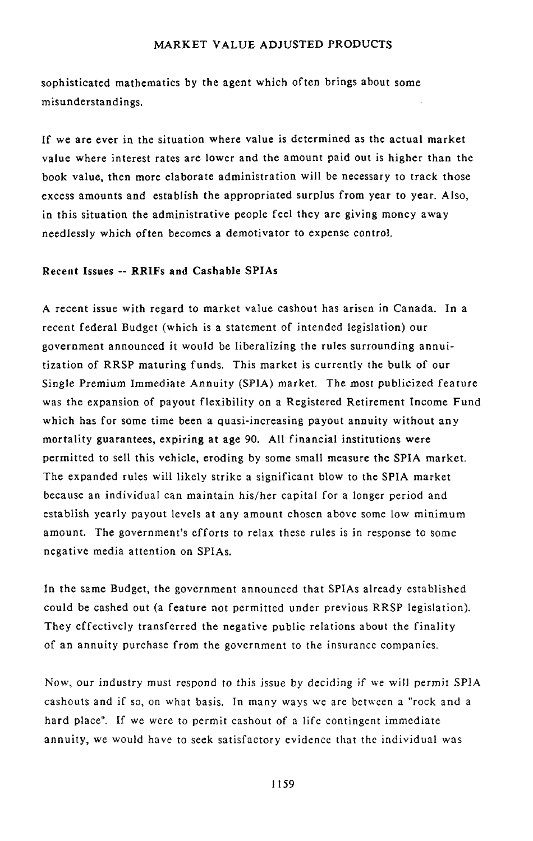s**o**ph**i**s**ti**ca**t**ed ma**t**hem**ati**cs b**y t**he agent wh**i**ch often br**i**ngs **a**bout s**o**m**e** misunderstandings.

If we are ever in the situation whe**r**e value i**s** determined as **t**he actual market value where interest rates are lower and the amount paid out is higher than the book value, then more elaborate administration will be necessary to track those excess amounts and establish the appropriated surplus from year to year. Also, in this situation the administrative people feel they are giving money away needlessly which often becomes a demotivator to expense control.

# **Recent** Issu**e**s **-- R**RI**F**s **and** C**a**s**h**a**b**l**e** S**PI**A**s**

A recent issue with regard to market value cashout has arisen in *C*anada. In a recent federal Budget (which is a statement of intended legislation) our government announced it would be liberalizing **t**he rules surrounding annuitization of RRSP maturing funds. This market is currently the bulk of our Single Premium Immedia**t**e Annuity (SPIA) market. The mos**t** publicized feature was the expansion of payout flexibility on a Registered Retirement Income Fund which has for some time been a quasi-increasing payout annuity without any mortality guarantees, ex*p*iring at age 90. All financial institutions were permitted to sell this vehicle, eroding by some small measure the SPIA market. The expanded rules will likely strike a significant blow to the SPIA market because an individual can maintain his*/*her capital for a longer period and establish yearly payout levels at any amount chosen above some low minimum amount. The government's efforts to relax these rules is in response to some negative media attention on SPIAs.

In the same Budget, the government ann**o**unced that SPIAs already established could be cashed out (a feature not permitte**d** under previous RRSP legislation). They effectively transferred the negative public relations about the finality of an annuity purchase from the g**o**vernment to the insurance c**o**mpanies.

Now, our industry must respond to this issue by deciding if we will permit SPIA cashouts and if so, on what basis. In many ways we are between a"rock and a hard place". If we were to permit cashout of a life contingent immediate annuity, we would have to seek satisfactory evidence that the individual was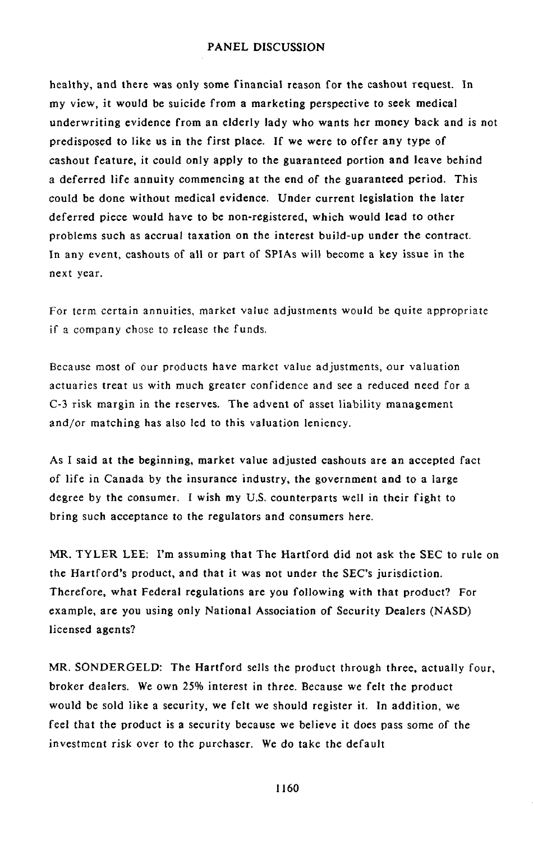heal**t**hy, and **t**here wa**s o**nly **som**e fi**n**an**c**ial rea**s***o*n f**o**r **th**e **c**a**sho**u**t** r**eq**ue**st.** In my view, it would be suicide from a marketing **p**ers**p**ective to seek medical underwriting evidence from an elderly lady who wa**n**ts her money back and is not **p**redis**p**o**s**ed to like us in the first **p**lace. If we were to offer any ty**p**e of ca**s**hout feature, it could only a**pp**ly to the guaranteed **p**ortion and leave behind a deferred life annuity commencing at the end *o*f the guaranteed **p**eriod. This could be done without medical evidence. Under current legislation the later deferred **p**iece would have to be non-register**e**d, which would lead to other problems such as accrual taxation on the interest build-u**p** under the contract. In any event, ca**s**houts of all or **p**art of SPIA**s** will become a key issue in the next year.

For term certain annui**t**ies, market v**a**lue adjustments would be **q**uite appr**o**priate if a company chose to release the funds*.*

Because m**o**st of our products have market value adjustments, our valuation actuaries treat us with much greater confidence and see a reduced need for a C-3 risk margin in the reserves. The a**d**ven**t** of asse**t** liabili**t**y **m**anagemen**t** and*/*or matching has also led to this valuation leniency.

As I **s**ai**d a**t t**h**e begi**nn**i**n**g**,** market val**u**e a**d**j**u**ste**d** ca**s**houts are an acce**p**ted fact of life in Canada by the insurance industry, the government and to a large degree by the consumer. I wish my U.S. counter**p**ar**t**s well in their fight to bring such acce**p**tance to the regulators and consumers here.

MR. **TY**LER LEE: I**'**m assuming that The Hartfor**d** di**d** not ask the SEC to rule on the Hartf*o*rd's **p**roduct, and tha**t** it was not under the SEC's jurisdiction. Therefore, what Federal regulations are you following with that **p**rodu*c*t? For exam**p**le, are you usi**n**g only National *A*ssociation of Security *D*ealers (*N*ASD) licensed agents?

MR. SO*ND*ERGEL*D*: The Hartford sells the **p**roduct through three, actually four, broker dealer**s**. We own 25% i**n**terest in three. Because we felt the **p**roduct would be sold like a security, we felt we should register it. In addition, we feel that the **p**roduct is a security becau**s**e we believe it d*o*es **p**ass some of the investment risk over to the **p**urchaser. We do take the default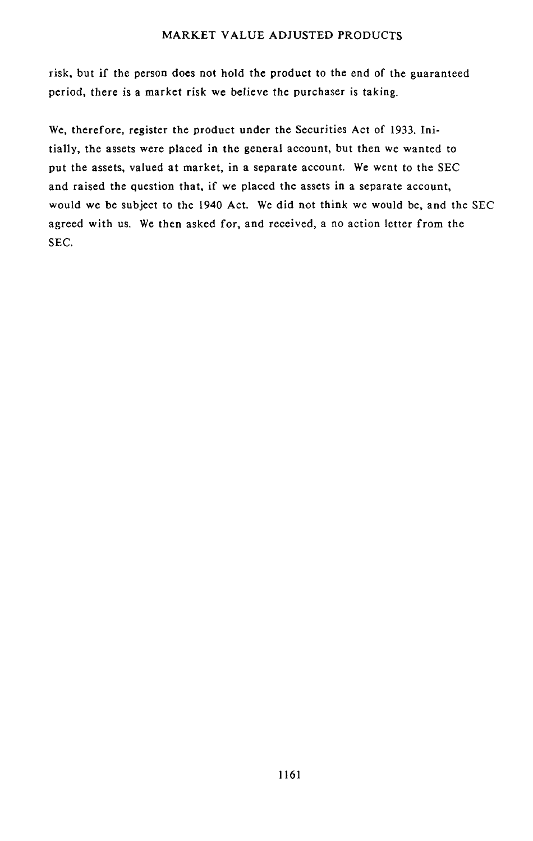risk, bu**t** if the person does no**t** hold the product **t**o the end of **t**he guaranteed period, there is a market risk we believe the purchaser is taking.

We, therefore, register the product under the Securities Act of 1933. Initially, the assets were *p*laced in the general account, but then we wanted to put the assets, valued at market, in a separate account. We went to the SEC and raised the question that, if we placed the assets in a separate account, would we be subject to the 1940 Act. We did not think we would be, and the SEC agreed with us. We then asked for, and received, a no action letter from the SEC.